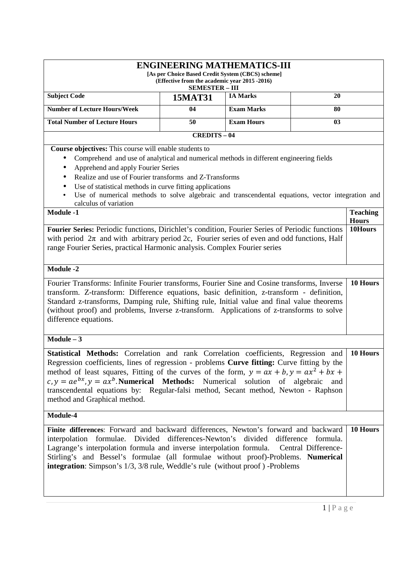| <b>ENGINEERING MATHEMATICS-III</b><br>[As per Choice Based Credit System (CBCS) scheme]<br>(Effective from the academic year 2015 -2016)<br><b>SEMESTER - III</b>                                                                                                                                                                                                                                                                                                                                            |                                                                                                                                                                                                                                                                                                                                                                                                                  |                   |                |                                 |
|--------------------------------------------------------------------------------------------------------------------------------------------------------------------------------------------------------------------------------------------------------------------------------------------------------------------------------------------------------------------------------------------------------------------------------------------------------------------------------------------------------------|------------------------------------------------------------------------------------------------------------------------------------------------------------------------------------------------------------------------------------------------------------------------------------------------------------------------------------------------------------------------------------------------------------------|-------------------|----------------|---------------------------------|
| <b>Subject Code</b>                                                                                                                                                                                                                                                                                                                                                                                                                                                                                          | <b>15MAT31</b>                                                                                                                                                                                                                                                                                                                                                                                                   | <b>IA Marks</b>   | 20             |                                 |
| <b>Number of Lecture Hours/Week</b><br><b>Exam Marks</b><br>04<br>80                                                                                                                                                                                                                                                                                                                                                                                                                                         |                                                                                                                                                                                                                                                                                                                                                                                                                  |                   |                |                                 |
| <b>Total Number of Lecture Hours</b>                                                                                                                                                                                                                                                                                                                                                                                                                                                                         | 50                                                                                                                                                                                                                                                                                                                                                                                                               | <b>Exam Hours</b> | 0 <sub>3</sub> |                                 |
|                                                                                                                                                                                                                                                                                                                                                                                                                                                                                                              | <b>CREDITS-04</b>                                                                                                                                                                                                                                                                                                                                                                                                |                   |                |                                 |
| calculus of variation                                                                                                                                                                                                                                                                                                                                                                                                                                                                                        | Course objectives: This course will enable students to<br>Comprehend and use of analytical and numerical methods in different engineering fields<br>Apprehend and apply Fourier Series<br>Realize and use of Fourier transforms and Z-Transforms<br>Use of statistical methods in curve fitting applications<br>Use of numerical methods to solve algebraic and transcendental equations, vector integration and |                   |                |                                 |
| <b>Module -1</b>                                                                                                                                                                                                                                                                                                                                                                                                                                                                                             |                                                                                                                                                                                                                                                                                                                                                                                                                  |                   |                | <b>Teaching</b><br><b>Hours</b> |
| Fourier Series: Periodic functions, Dirichlet's condition, Fourier Series of Periodic functions<br>with period $2\pi$ and with arbitrary period 2c, Fourier series of even and odd functions, Half<br>range Fourier Series, practical Harmonic analysis. Complex Fourier series                                                                                                                                                                                                                              |                                                                                                                                                                                                                                                                                                                                                                                                                  |                   |                | 10Hours                         |
| <b>Module -2</b>                                                                                                                                                                                                                                                                                                                                                                                                                                                                                             |                                                                                                                                                                                                                                                                                                                                                                                                                  |                   |                |                                 |
| Fourier Transforms: Infinite Fourier transforms, Fourier Sine and Cosine transforms, Inverse<br>transform. Z-transform: Difference equations, basic definition, z-transform - definition,<br>Standard z-transforms, Damping rule, Shifting rule, Initial value and final value theorems<br>(without proof) and problems, Inverse z-transform. Applications of z-transforms to solve<br>difference equations.                                                                                                 |                                                                                                                                                                                                                                                                                                                                                                                                                  |                   |                | 10 Hours                        |
| $Module - 3$                                                                                                                                                                                                                                                                                                                                                                                                                                                                                                 |                                                                                                                                                                                                                                                                                                                                                                                                                  |                   |                |                                 |
| Statistical Methods: Correlation and rank Correlation coefficients, Regression and<br>Regression coefficients, lines of regression - problems <b>Curve fitting:</b> Curve fitting by the<br>method of least squares, Fitting of the curves of the form, $y = ax + b$ , $y = ax^2 + bx +$<br>$c, y = ae^{bx}, y = ax^b$ . <b>Numerical Methods:</b> Numerical solution of algebraic and<br>transcendental equations by: Regular-falsi method, Secant method, Newton - Raphson<br>method and Graphical method. |                                                                                                                                                                                                                                                                                                                                                                                                                  |                   |                | 10 Hours                        |
| Module-4                                                                                                                                                                                                                                                                                                                                                                                                                                                                                                     |                                                                                                                                                                                                                                                                                                                                                                                                                  |                   |                |                                 |
| Finite differences: Forward and backward differences, Newton's forward and backward<br>interpolation formulae. Divided differences-Newton's divided difference<br>formula.<br>Lagrange's interpolation formula and inverse interpolation formula. Central Difference-<br>Stirling's and Bessel's formulae (all formulae without proof)-Problems. Numerical<br><b>integration</b> : Simpson's 1/3, 3/8 rule, Weddle's rule (without proof) -Problems                                                          |                                                                                                                                                                                                                                                                                                                                                                                                                  |                   |                | 10 Hours                        |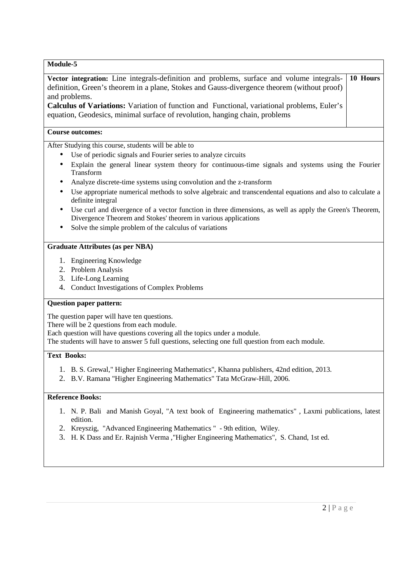| Module-5                                                                                                                                                                                                                                                                                                                                                                                            |  |  |  |
|-----------------------------------------------------------------------------------------------------------------------------------------------------------------------------------------------------------------------------------------------------------------------------------------------------------------------------------------------------------------------------------------------------|--|--|--|
| 10 Hours<br>Vector integration: Line integrals-definition and problems, surface and volume integrals-<br>definition, Green's theorem in a plane, Stokes and Gauss-divergence theorem (without proof)<br>and problems.<br>Calculus of Variations: Variation of function and Functional, variational problems, Euler's<br>equation, Geodesics, minimal surface of revolution, hanging chain, problems |  |  |  |
| <b>Course outcomes:</b>                                                                                                                                                                                                                                                                                                                                                                             |  |  |  |
| After Studying this course, students will be able to                                                                                                                                                                                                                                                                                                                                                |  |  |  |
| Use of periodic signals and Fourier series to analyze circuits                                                                                                                                                                                                                                                                                                                                      |  |  |  |
| Explain the general linear system theory for continuous-time signals and systems using the Fourier<br>$\bullet$<br>Transform                                                                                                                                                                                                                                                                        |  |  |  |
| Analyze discrete-time systems using convolution and the z-transform                                                                                                                                                                                                                                                                                                                                 |  |  |  |
| Use appropriate numerical methods to solve algebraic and transcendental equations and also to calculate a<br>definite integral                                                                                                                                                                                                                                                                      |  |  |  |
| Use curl and divergence of a vector function in three dimensions, as well as apply the Green's Theorem,<br>Divergence Theorem and Stokes' theorem in various applications                                                                                                                                                                                                                           |  |  |  |
| Solve the simple problem of the calculus of variations                                                                                                                                                                                                                                                                                                                                              |  |  |  |
| <b>Graduate Attributes (as per NBA)</b>                                                                                                                                                                                                                                                                                                                                                             |  |  |  |
| 1. Engineering Knowledge                                                                                                                                                                                                                                                                                                                                                                            |  |  |  |
| 2. Problem Analysis                                                                                                                                                                                                                                                                                                                                                                                 |  |  |  |
| 3. Life-Long Learning                                                                                                                                                                                                                                                                                                                                                                               |  |  |  |
| <b>Conduct Investigations of Complex Problems</b><br>4.                                                                                                                                                                                                                                                                                                                                             |  |  |  |
| <b>Question paper pattern:</b>                                                                                                                                                                                                                                                                                                                                                                      |  |  |  |
| The question paper will have ten questions.                                                                                                                                                                                                                                                                                                                                                         |  |  |  |
| There will be 2 questions from each module.                                                                                                                                                                                                                                                                                                                                                         |  |  |  |
| Each question will have questions covering all the topics under a module.                                                                                                                                                                                                                                                                                                                           |  |  |  |
| The students will have to answer 5 full questions, selecting one full question from each module.                                                                                                                                                                                                                                                                                                    |  |  |  |
| <b>Text Books:</b>                                                                                                                                                                                                                                                                                                                                                                                  |  |  |  |
| 1. B. S. Grewal," Higher Engineering Mathematics", Khanna publishers, 42nd edition, 2013.<br>2. B.V. Ramana "Higher Engineering Mathematics" Tata McGraw-Hill, 2006.                                                                                                                                                                                                                                |  |  |  |
| <b>Reference Books:</b>                                                                                                                                                                                                                                                                                                                                                                             |  |  |  |
| 1. N. P. Bali and Manish Goyal, "A text book of Engineering mathematics", Laxmi publications, latest<br>edition.                                                                                                                                                                                                                                                                                    |  |  |  |
| 2. Kreyszig, "Advanced Engineering Mathematics" - 9th edition, Wiley.                                                                                                                                                                                                                                                                                                                               |  |  |  |
| H. K Dass and Er. Rajnish Verma , "Higher Engineering Mathematics", S. Chand, 1st ed.<br>3.                                                                                                                                                                                                                                                                                                         |  |  |  |
|                                                                                                                                                                                                                                                                                                                                                                                                     |  |  |  |
|                                                                                                                                                                                                                                                                                                                                                                                                     |  |  |  |
|                                                                                                                                                                                                                                                                                                                                                                                                     |  |  |  |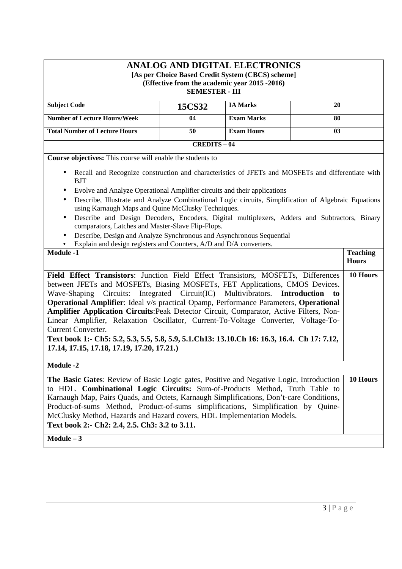# **ANALOG AND DIGITAL ELECTRONICS [As per Choice Based Credit System (CBCS) scheme] (Effective from the academic year 2015 -2016) SEMESTER - III**

| <b>Subject Code</b>                  | 15CS32 | <b>IA Marks</b>   | 20 |
|--------------------------------------|--------|-------------------|----|
| <b>Number of Lecture Hours/Week</b>  | 04     | <b>Exam Marks</b> | 80 |
| <b>Total Number of Lecture Hours</b> | 50     | <b>Exam Hours</b> | 03 |
| $CREDITS - 04$                       |        |                   |    |

**Course objectives:** This course will enable the students to

- Recall and Recognize construction and characteristics of JFETs and MOSFETs and differentiate with BJT
- Evolve and Analyze Operational Amplifier circuits and their applications
- Describe, Illustrate and Analyze Combinational Logic circuits, Simplification of Algebraic Equations using Karnaugh Maps and Quine McClusky Techniques.
- Describe and Design Decoders, Encoders, Digital multiplexers, Adders and Subtractors, Binary comparators, Latches and Master-Slave Flip-Flops.
- Describe, Design and Analyze Synchronous and Asynchronous Sequential
- Evolain and design registers and Counters,  $\Delta/D$  and  $D/\Delta$  converters.

| $\bullet$ Explain and design registers and Counters, $A/D$ and $D/A$ Converters.               |                 |
|------------------------------------------------------------------------------------------------|-----------------|
| <b>Module -1</b>                                                                               | <b>Teaching</b> |
|                                                                                                | <b>Hours</b>    |
| <b>Field Effect Transistors:</b> Junction Field Effect Transistors, MOSFETs, Differences       | 10 Hours        |
| between JFETs and MOSFETs, Biasing MOSFETs, FET Applications, CMOS Devices.                    |                 |
| Wave-Shaping Circuits: Integrated Circuit(IC) Multivibrators. <b>Introduction</b><br>to        |                 |
| <b>Operational Amplifier:</b> Ideal v/s practical Opamp, Performance Parameters, Operational   |                 |
| <b>Amplifier Application Circuits: Peak Detector Circuit, Comparator, Active Filters, Non-</b> |                 |
| Linear Amplifier, Relaxation Oscillator, Current-To-Voltage Converter, Voltage-To-             |                 |
| Current Converter.                                                                             |                 |
| Text book 1:- Ch5: 5.2, 5.3, 5.5, 5.8, 5.9, 5.1.Ch13: 13.10.Ch 16: 16.3, 16.4. Ch 17: 7.12,    |                 |
| 17.14, 17.15, 17.18, 17.19, 17.20, 17.21.)                                                     |                 |
|                                                                                                |                 |
| <b>Module -2</b>                                                                               |                 |
| The Basic Gates: Review of Basic Logic gates, Positive and Negative Logic, Introduction        | 10 Hours        |
| to HDL. <b>Combinational Logic Circuits:</b> Sum-of-Products Method, Truth Table to            |                 |
| Karnaugh Map, Pairs Quads, and Octets, Karnaugh Simplifications, Don't-care Conditions,        |                 |
| Product-of-sums Method, Product-of-sums simplifications, Simplification by Quine-              |                 |
| McClusky Method, Hazards and Hazard covers, HDL Implementation Models.                         |                 |
| Text book 2:- Ch2: 2.4, 2.5. Ch3: 3.2 to 3.11.                                                 |                 |

**Module – 3**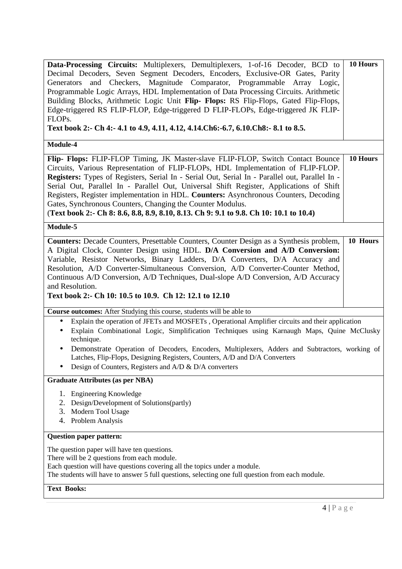| Data-Processing Circuits: Multiplexers, Demultiplexers, 1-of-16 Decoder, BCD to<br>Decimal Decoders, Seven Segment Decoders, Encoders, Exclusive-OR Gates, Parity<br>and Checkers, Magnitude Comparator, Programmable Array Logic,<br>Generators<br>Programmable Logic Arrays, HDL Implementation of Data Processing Circuits. Arithmetic<br>Building Blocks, Arithmetic Logic Unit Flip- Flops: RS Flip-Flops, Gated Flip-Flops,<br>Edge-triggered RS FLIP-FLOP, Edge-triggered D FLIP-FLOPs, Edge-triggered JK FLIP-<br>FLOPs.<br>Text book 2:- Ch 4:- 4.1 to 4.9, 4.11, 4.12, 4.14. Ch6: -6.7, 6.10. Ch8: - 8.1 to 8.5. | 10 Hours |
|----------------------------------------------------------------------------------------------------------------------------------------------------------------------------------------------------------------------------------------------------------------------------------------------------------------------------------------------------------------------------------------------------------------------------------------------------------------------------------------------------------------------------------------------------------------------------------------------------------------------------|----------|
| Module-4                                                                                                                                                                                                                                                                                                                                                                                                                                                                                                                                                                                                                   |          |
| Flip- Flops: FLIP-FLOP Timing, JK Master-slave FLIP-FLOP, Switch Contact Bounce<br>Circuits, Various Representation of FLIP-FLOPs, HDL Implementation of FLIP-FLOP.<br>Registers: Types of Registers, Serial In - Serial Out, Serial In - Parallel out, Parallel In -<br>Serial Out, Parallel In - Parallel Out, Universal Shift Register, Applications of Shift<br>Registers, Register implementation in HDL. Counters: Asynchronous Counters, Decoding<br>Gates, Synchronous Counters, Changing the Counter Modulus.<br>(Text book 2:- Ch 8: 8.6, 8.8, 8.9, 8.10, 8.13. Ch 9: 9.1 to 9.8. Ch 10: 10.1 to 10.4)           | 10 Hours |
| Module-5                                                                                                                                                                                                                                                                                                                                                                                                                                                                                                                                                                                                                   |          |
| <b>Counters:</b> Decade Counters, Presettable Counters, Counter Design as a Synthesis problem,<br>A Digital Clock, Counter Design using HDL. D/A Conversion and A/D Conversion:<br>Variable, Resistor Networks, Binary Ladders, D/A Converters, D/A Accuracy and<br>Resolution, A/D Converter-Simultaneous Conversion, A/D Converter-Counter Method,<br>Continuous A/D Conversion, A/D Techniques, Dual-slope A/D Conversion, A/D Accuracy<br>and Resolution.<br>Text book 2:- Ch 10: 10.5 to 10.9. Ch 12: 12.1 to 12.10                                                                                                   | 10 Hours |
| Course outcomes: After Studying this course, students will be able to                                                                                                                                                                                                                                                                                                                                                                                                                                                                                                                                                      |          |
| Explain the operation of JFETs and MOSFETs, Operational Amplifier circuits and their application<br>$\bullet$<br>Explain Combinational Logic, Simplification Techniques using Karnaugh Maps, Quine McClusky<br>technique.<br>Demonstrate Operation of Decoders, Encoders, Multiplexers, Adders and Subtractors, working of<br>Latches, Flip-Flops, Designing Registers, Counters, A/D and D/A Converters<br>Design of Counters, Registers and A/D & D/A converters                                                                                                                                                         |          |
| <b>Graduate Attributes (as per NBA)</b>                                                                                                                                                                                                                                                                                                                                                                                                                                                                                                                                                                                    |          |
| 1. Engineering Knowledge<br>Design/Development of Solutions(partly)<br>2.<br>Modern Tool Usage<br>3.<br>Problem Analysis<br>4.                                                                                                                                                                                                                                                                                                                                                                                                                                                                                             |          |
| <b>Question paper pattern:</b>                                                                                                                                                                                                                                                                                                                                                                                                                                                                                                                                                                                             |          |
| The question paper will have ten questions.<br>There will be 2 questions from each module.<br>Each question will have questions covering all the topics under a module.<br>The students will have to answer 5 full questions, selecting one full question from each module.                                                                                                                                                                                                                                                                                                                                                |          |
| <b>Text Books:</b>                                                                                                                                                                                                                                                                                                                                                                                                                                                                                                                                                                                                         |          |
| $4 P$ a g e                                                                                                                                                                                                                                                                                                                                                                                                                                                                                                                                                                                                                |          |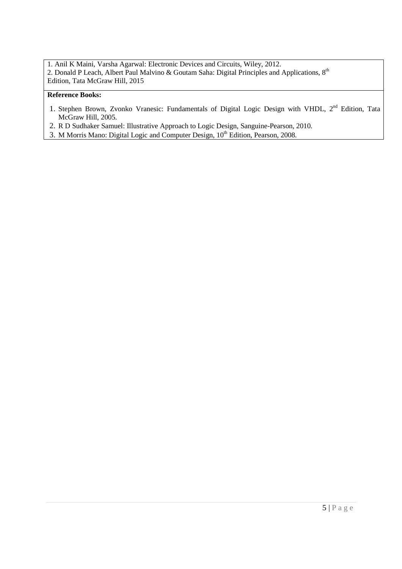1. Anil K Maini, Varsha Agarwal: Electronic Devices and Circuits, Wiley, 2012. 2. Donald P Leach, Albert Paul Malvino & Goutam Saha: Digital Principles and Applications, 8<sup>th</sup> Edition, Tata McGraw Hill, 2015

- 1. Stephen Brown, Zvonko Vranesic: Fundamentals of Digital Logic Design with VHDL, 2<sup>nd</sup> Edition, Tata McGraw Hill, 2005.
- 2. R D Sudhaker Samuel: Illustrative Approach to Logic Design, Sanguine-Pearson, 2010.
- 3. M Morris Mano: Digital Logic and Computer Design, 10<sup>th</sup> Edition, Pearson, 2008.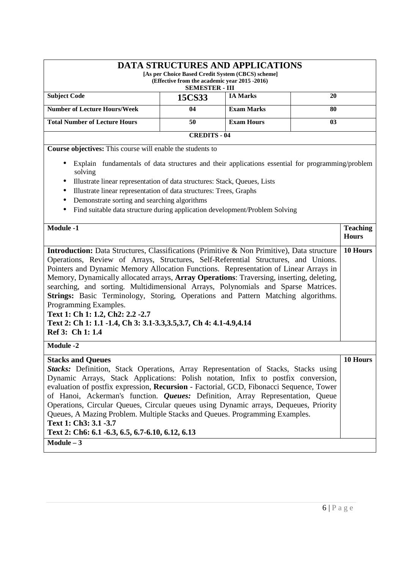|                                                                                                                                                                                                                                                                                                                                                                                                                                                                                                                                                                                                                                                                                                        | (Effective from the academic year 2015 -2016)<br><b>SEMESTER - III</b> | <b>DATA STRUCTURES AND APPLICATIONS</b><br>[As per Choice Based Credit System (CBCS) scheme] |    |                                 |  |
|--------------------------------------------------------------------------------------------------------------------------------------------------------------------------------------------------------------------------------------------------------------------------------------------------------------------------------------------------------------------------------------------------------------------------------------------------------------------------------------------------------------------------------------------------------------------------------------------------------------------------------------------------------------------------------------------------------|------------------------------------------------------------------------|----------------------------------------------------------------------------------------------|----|---------------------------------|--|
| <b>Subject Code</b>                                                                                                                                                                                                                                                                                                                                                                                                                                                                                                                                                                                                                                                                                    | 15CS33                                                                 | <b>IA Marks</b>                                                                              | 20 |                                 |  |
| <b>Number of Lecture Hours/Week</b>                                                                                                                                                                                                                                                                                                                                                                                                                                                                                                                                                                                                                                                                    | 04                                                                     | <b>Exam Marks</b>                                                                            | 80 |                                 |  |
| <b>Total Number of Lecture Hours</b>                                                                                                                                                                                                                                                                                                                                                                                                                                                                                                                                                                                                                                                                   | 50                                                                     | <b>Exam Hours</b>                                                                            | 03 |                                 |  |
|                                                                                                                                                                                                                                                                                                                                                                                                                                                                                                                                                                                                                                                                                                        | <b>CREDITS - 04</b>                                                    |                                                                                              |    |                                 |  |
| Course objectives: This course will enable the students to                                                                                                                                                                                                                                                                                                                                                                                                                                                                                                                                                                                                                                             |                                                                        |                                                                                              |    |                                 |  |
| Explain fundamentals of data structures and their applications essential for programming/problem<br>solving<br>Illustrate linear representation of data structures: Stack, Queues, Lists<br>Illustrate linear representation of data structures: Trees, Graphs<br>Demonstrate sorting and searching algorithms<br>$\bullet$<br>Find suitable data structure during application development/Problem Solving                                                                                                                                                                                                                                                                                             |                                                                        |                                                                                              |    |                                 |  |
| <b>Module -1</b>                                                                                                                                                                                                                                                                                                                                                                                                                                                                                                                                                                                                                                                                                       |                                                                        |                                                                                              |    | <b>Teaching</b><br><b>Hours</b> |  |
| Introduction: Data Structures, Classifications (Primitive & Non Primitive), Data structure<br>Operations, Review of Arrays, Structures, Self-Referential Structures, and Unions.<br>Pointers and Dynamic Memory Allocation Functions. Representation of Linear Arrays in<br>Memory, Dynamically allocated arrays, Array Operations: Traversing, inserting, deleting,<br>searching, and sorting. Multidimensional Arrays, Polynomials and Sparse Matrices.<br>Strings: Basic Terminology, Storing, Operations and Pattern Matching algorithms.<br>Programming Examples.<br>Text 1: Ch 1: 1.2, Ch2: 2.2 -2.7<br>Text 2: Ch 1: 1.1 -1.4, Ch 3: 3.1-3.3, 3.5, 3.7, Ch 4: 4.1-4.9, 4.14<br>Ref 3: Ch 1: 1.4 |                                                                        |                                                                                              |    | 10 Hours                        |  |
| <b>Module -2</b>                                                                                                                                                                                                                                                                                                                                                                                                                                                                                                                                                                                                                                                                                       |                                                                        |                                                                                              |    |                                 |  |
| <b>Stacks and Queues</b><br><b>Stacks:</b> Definition, Stack Operations, Array Representation of Stacks, Stacks using<br>Dynamic Arrays, Stack Applications: Polish notation, Infix to postfix conversion,<br>evaluation of postfix expression, Recursion - Factorial, GCD, Fibonacci Sequence, Tower<br>of Hanoi, Ackerman's function. <i>Queues:</i> Definition, Array Representation, Queue<br>Operations, Circular Queues, Circular queues using Dynamic arrays, Dequeues, Priority<br>Queues, A Mazing Problem. Multiple Stacks and Queues. Programming Examples.<br>Text 1: Ch3: 3.1 -3.7<br>Text 2: Ch6: 6.1 -6.3, 6.5, 6.7-6.10, 6.12, 6.13<br>$Module - 3$                                    |                                                                        |                                                                                              |    | 10 Hours                        |  |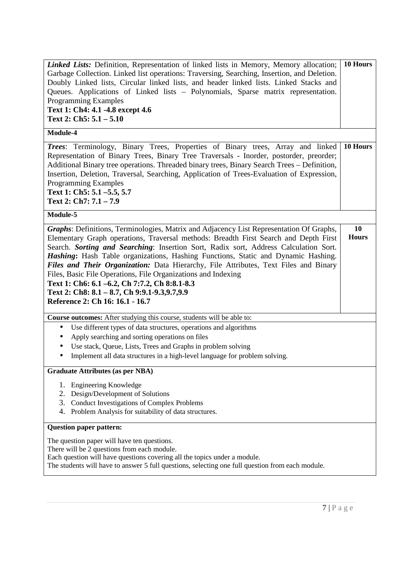| Linked Lists: Definition, Representation of linked lists in Memory, Memory allocation;<br>Garbage Collection. Linked list operations: Traversing, Searching, Insertion, and Deletion.<br>Doubly Linked lists, Circular linked lists, and header linked lists. Linked Stacks and<br>Queues. Applications of Linked lists - Polynomials, Sparse matrix representation.<br><b>Programming Examples</b><br>Text 1: Ch4: 4.1 -4.8 except 4.6<br>Text 2: $Ch5: 5.1 - 5.10$                                                                                                                                                                                      |                    |  |  |
|-----------------------------------------------------------------------------------------------------------------------------------------------------------------------------------------------------------------------------------------------------------------------------------------------------------------------------------------------------------------------------------------------------------------------------------------------------------------------------------------------------------------------------------------------------------------------------------------------------------------------------------------------------------|--------------------|--|--|
| Module-4                                                                                                                                                                                                                                                                                                                                                                                                                                                                                                                                                                                                                                                  |                    |  |  |
| Trees: Terminology, Binary Trees, Properties of Binary trees, Array and linked<br>Representation of Binary Trees, Binary Tree Traversals - Inorder, postorder, preorder;<br>Additional Binary tree operations. Threaded binary trees, Binary Search Trees - Definition,<br>Insertion, Deletion, Traversal, Searching, Application of Trees-Evaluation of Expression,<br><b>Programming Examples</b><br>Text 1: Ch5: 5.1 -5.5, 5.7<br>Text 2: Ch7: 7.1 - 7.9                                                                                                                                                                                               | 10 Hours           |  |  |
| Module-5                                                                                                                                                                                                                                                                                                                                                                                                                                                                                                                                                                                                                                                  |                    |  |  |
| Graphs: Definitions, Terminologies, Matrix and Adjacency List Representation Of Graphs,<br>Elementary Graph operations, Traversal methods: Breadth First Search and Depth First<br>Search. Sorting and Searching: Insertion Sort, Radix sort, Address Calculation Sort.<br>Hashing: Hash Table organizations, Hashing Functions, Static and Dynamic Hashing.<br>Files and Their Organization: Data Hierarchy, File Attributes, Text Files and Binary<br>Files, Basic File Operations, File Organizations and Indexing<br>Text 1: Ch6: 6.1 -6.2, Ch 7:7.2, Ch 8:8.1-8.3<br>Text 2: Ch8: 8.1 - 8.7, Ch 9:9.1-9.3,9.7,9.9<br>Reference 2: Ch 16: 16.1 - 16.7 | 10<br><b>Hours</b> |  |  |
| Course outcomes: After studying this course, students will be able to:                                                                                                                                                                                                                                                                                                                                                                                                                                                                                                                                                                                    |                    |  |  |
| Use different types of data structures, operations and algorithms<br>$\bullet$<br>Apply searching and sorting operations on files<br>$\bullet$                                                                                                                                                                                                                                                                                                                                                                                                                                                                                                            |                    |  |  |
| Use stack, Queue, Lists, Trees and Graphs in problem solving<br>$\bullet$                                                                                                                                                                                                                                                                                                                                                                                                                                                                                                                                                                                 |                    |  |  |
| Implement all data structures in a high-level language for problem solving.<br>$\bullet$                                                                                                                                                                                                                                                                                                                                                                                                                                                                                                                                                                  |                    |  |  |
| <b>Graduate Attributes (as per NBA)</b>                                                                                                                                                                                                                                                                                                                                                                                                                                                                                                                                                                                                                   |                    |  |  |
| <b>Engineering Knowledge</b><br>1.<br>2.<br>Design/Development of Solutions<br>3.<br>Conduct Investigations of Complex Problems<br>Problem Analysis for suitability of data structures.<br>4.                                                                                                                                                                                                                                                                                                                                                                                                                                                             |                    |  |  |
| <b>Question paper pattern:</b>                                                                                                                                                                                                                                                                                                                                                                                                                                                                                                                                                                                                                            |                    |  |  |
| The question paper will have ten questions.<br>There will be 2 questions from each module.<br>Each question will have questions covering all the topics under a module.<br>The students will have to answer 5 full questions, selecting one full question from each module.                                                                                                                                                                                                                                                                                                                                                                               |                    |  |  |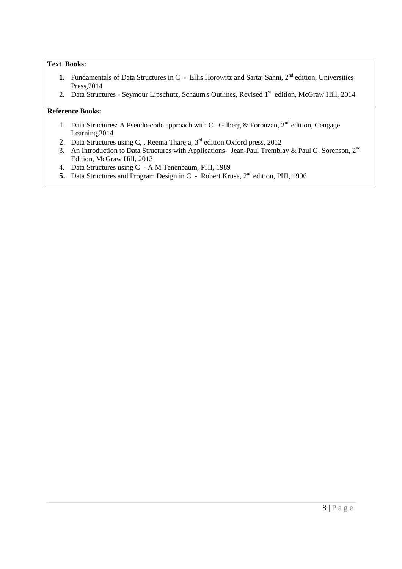# **Text Books:**

- **1.** Fundamentals of Data Structures in C Ellis Horowitz and Sartaj Sahni, 2<sup>nd</sup> edition, Universities Press,2014
- 2. Data Structures Seymour Lipschutz, Schaum's Outlines, Revised 1<sup>st</sup> edition, McGraw Hill, 2014

- 1. Data Structures: A Pseudo-code approach with C –Gilberg & Forouzan,  $2<sup>nd</sup>$  edition, Cengage Learning,2014
- 2. Data Structures using C, , Reema Thareja, 3<sup>rd</sup> edition Oxford press, 2012
- 3. An Introduction to Data Structures with Applications- Jean-Paul Tremblay & Paul G. Sorenson, 2<sup>nd</sup> Edition, McGraw Hill, 2013
- 4. Data Structures using C A M Tenenbaum, PHI, 1989
- **5.** Data Structures and Program Design in C Robert Kruse, 2<sup>nd</sup> edition, PHI, 1996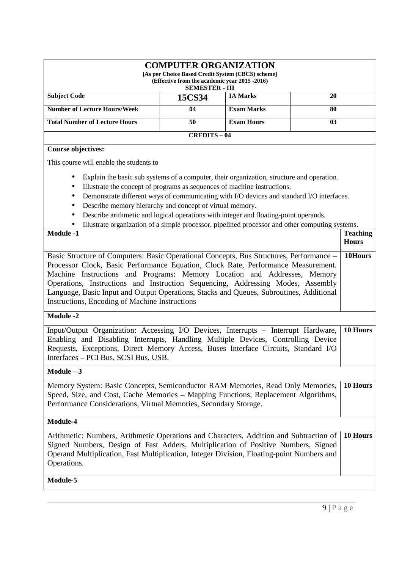| <b>COMPUTER ORGANIZATION</b><br>[As per Choice Based Credit System (CBCS) scheme]<br>(Effective from the academic year 2015 -2016)<br><b>SEMESTER - III</b>                                                                                                                                                                                                                                                                                                                                                                                                               |                   |                   |         |                                 |
|---------------------------------------------------------------------------------------------------------------------------------------------------------------------------------------------------------------------------------------------------------------------------------------------------------------------------------------------------------------------------------------------------------------------------------------------------------------------------------------------------------------------------------------------------------------------------|-------------------|-------------------|---------|---------------------------------|
| <b>Subject Code</b>                                                                                                                                                                                                                                                                                                                                                                                                                                                                                                                                                       | 15CS34            | <b>IA Marks</b>   | 20      |                                 |
| <b>Number of Lecture Hours/Week</b>                                                                                                                                                                                                                                                                                                                                                                                                                                                                                                                                       | 04                | <b>Exam Marks</b> | 80      |                                 |
| <b>Total Number of Lecture Hours</b>                                                                                                                                                                                                                                                                                                                                                                                                                                                                                                                                      | 50                | <b>Exam Hours</b> | 03      |                                 |
|                                                                                                                                                                                                                                                                                                                                                                                                                                                                                                                                                                           | <b>CREDITS-04</b> |                   |         |                                 |
| <b>Course objectives:</b>                                                                                                                                                                                                                                                                                                                                                                                                                                                                                                                                                 |                   |                   |         |                                 |
| This course will enable the students to<br>Explain the basic sub systems of a computer, their organization, structure and operation.<br>Illustrate the concept of programs as sequences of machine instructions.<br>٠<br>Demonstrate different ways of communicating with I/O devices and standard I/O interfaces.<br>Describe memory hierarchy and concept of virtual memory.<br>Describe arithmetic and logical operations with integer and floating-point operands.<br>Illustrate organization of a simple processor, pipelined processor and other computing systems. |                   |                   |         |                                 |
| <b>Module -1</b>                                                                                                                                                                                                                                                                                                                                                                                                                                                                                                                                                          |                   |                   |         | <b>Teaching</b><br><b>Hours</b> |
| Basic Structure of Computers: Basic Operational Concepts, Bus Structures, Performance -<br>Processor Clock, Basic Performance Equation, Clock Rate, Performance Measurement.<br>Machine Instructions and Programs: Memory Location and Addresses, Memory<br>Operations, Instructions and Instruction Sequencing, Addressing Modes, Assembly<br>Language, Basic Input and Output Operations, Stacks and Queues, Subroutines, Additional<br>Instructions, Encoding of Machine Instructions                                                                                  |                   |                   | 10Hours |                                 |
| <b>Module -2</b>                                                                                                                                                                                                                                                                                                                                                                                                                                                                                                                                                          |                   |                   |         |                                 |
| Input/Output Organization: Accessing I/O Devices, Interrupts - Interrupt Hardware,<br>Enabling and Disabling Interrupts, Handling Multiple Devices, Controlling Device<br>Requests, Exceptions, Direct Memory Access, Buses Interface Circuits, Standard I/O<br>Interfaces - PCI Bus, SCSI Bus, USB.                                                                                                                                                                                                                                                                      |                   |                   |         | 10 Hours                        |
| $Module - 3$                                                                                                                                                                                                                                                                                                                                                                                                                                                                                                                                                              |                   |                   |         |                                 |
| Memory System: Basic Concepts, Semiconductor RAM Memories, Read Only Memories,<br>Speed, Size, and Cost, Cache Memories - Mapping Functions, Replacement Algorithms,<br>Performance Considerations, Virtual Memories, Secondary Storage.                                                                                                                                                                                                                                                                                                                                  |                   |                   |         | 10 Hours                        |
| Module-4                                                                                                                                                                                                                                                                                                                                                                                                                                                                                                                                                                  |                   |                   |         |                                 |
| Arithmetic: Numbers, Arithmetic Operations and Characters, Addition and Subtraction of<br>Signed Numbers, Design of Fast Adders, Multiplication of Positive Numbers, Signed<br>Operand Multiplication, Fast Multiplication, Integer Division, Floating-point Numbers and<br>Operations.                                                                                                                                                                                                                                                                                   |                   |                   |         | 10 Hours                        |

**Module-5**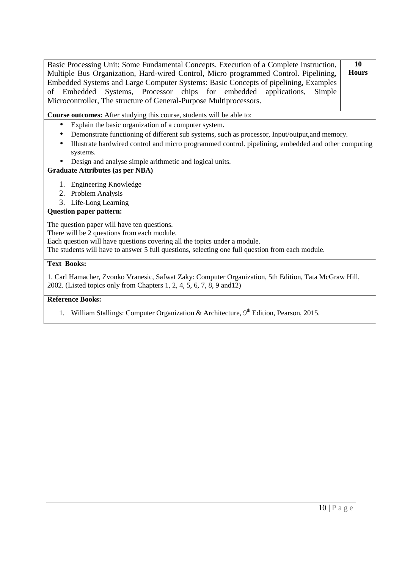| Basic Processing Unit: Some Fundamental Concepts, Execution of a Complete Instruction,<br>Multiple Bus Organization, Hard-wired Control, Micro programmed Control. Pipelining,<br>Embedded Systems and Large Computer Systems: Basic Concepts of pipelining, Examples<br>Systems, Processor chips for embedded<br>applications,<br>Embedded<br>Simple<br>of<br>Microcontroller, The structure of General-Purpose Multiprocessors. | 10<br><b>Hours</b> |
|-----------------------------------------------------------------------------------------------------------------------------------------------------------------------------------------------------------------------------------------------------------------------------------------------------------------------------------------------------------------------------------------------------------------------------------|--------------------|
| Course outcomes: After studying this course, students will be able to:                                                                                                                                                                                                                                                                                                                                                            |                    |
| Explain the basic organization of a computer system.<br>$\bullet$<br>Demonstrate functioning of different sub systems, such as processor, Input/output, and memory.<br>Illustrate hardwired control and micro programmed control. pipelining, embedded and other computing<br>systems.<br>Design and analyse simple arithmetic and logical units.                                                                                 |                    |
| <b>Graduate Attributes (as per NBA)</b>                                                                                                                                                                                                                                                                                                                                                                                           |                    |
| 1. Engineering Knowledge<br>2. Problem Analysis<br>3. Life-Long Learning                                                                                                                                                                                                                                                                                                                                                          |                    |
| <b>Question paper pattern:</b>                                                                                                                                                                                                                                                                                                                                                                                                    |                    |
| The question paper will have ten questions.<br>There will be 2 questions from each module.<br>Each question will have questions covering all the topics under a module.<br>The students will have to answer 5 full questions, selecting one full question from each module.                                                                                                                                                       |                    |
| <b>Text Books:</b>                                                                                                                                                                                                                                                                                                                                                                                                                |                    |
| 1. Carl Hamacher, Zvonko Vranesic, Safwat Zaky: Computer Organization, 5th Edition, Tata McGraw Hill,<br>2002. (Listed topics only from Chapters 1, 2, 4, 5, 6, 7, 8, 9 and 12)                                                                                                                                                                                                                                                   |                    |
| <b>Reference Books:</b>                                                                                                                                                                                                                                                                                                                                                                                                           |                    |
|                                                                                                                                                                                                                                                                                                                                                                                                                                   |                    |

1. William Stallings: Computer Organization & Architecture, 9<sup>th</sup> Edition, Pearson, 2015.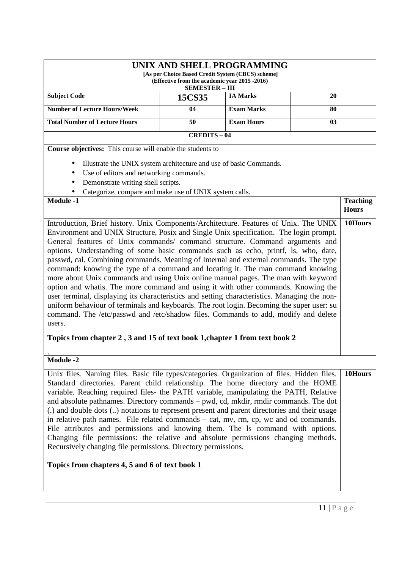| UNIX AND SHELL PROGRAMMING<br>[As per Choice Based Credit System (CBCS) scheme]<br>(Effective from the academic year 2015 -2016)<br><b>SEMESTER - III</b>                                                                                                                                                                                                                                                                                                                                                                                                                                                                                                                                                                                                                                                                                                                                                                                                                                                                                                                            |                   |                   |    |                                 |
|--------------------------------------------------------------------------------------------------------------------------------------------------------------------------------------------------------------------------------------------------------------------------------------------------------------------------------------------------------------------------------------------------------------------------------------------------------------------------------------------------------------------------------------------------------------------------------------------------------------------------------------------------------------------------------------------------------------------------------------------------------------------------------------------------------------------------------------------------------------------------------------------------------------------------------------------------------------------------------------------------------------------------------------------------------------------------------------|-------------------|-------------------|----|---------------------------------|
| <b>Subject Code</b>                                                                                                                                                                                                                                                                                                                                                                                                                                                                                                                                                                                                                                                                                                                                                                                                                                                                                                                                                                                                                                                                  | 15CS35            | <b>IA Marks</b>   | 20 |                                 |
| <b>Number of Lecture Hours/Week</b><br><b>Exam Marks</b><br>04<br>80                                                                                                                                                                                                                                                                                                                                                                                                                                                                                                                                                                                                                                                                                                                                                                                                                                                                                                                                                                                                                 |                   |                   |    |                                 |
| <b>Total Number of Lecture Hours</b>                                                                                                                                                                                                                                                                                                                                                                                                                                                                                                                                                                                                                                                                                                                                                                                                                                                                                                                                                                                                                                                 | 50                | <b>Exam Hours</b> | 03 |                                 |
|                                                                                                                                                                                                                                                                                                                                                                                                                                                                                                                                                                                                                                                                                                                                                                                                                                                                                                                                                                                                                                                                                      | <b>CREDITS-04</b> |                   |    |                                 |
| Course objectives: This course will enable the students to                                                                                                                                                                                                                                                                                                                                                                                                                                                                                                                                                                                                                                                                                                                                                                                                                                                                                                                                                                                                                           |                   |                   |    |                                 |
| Illustrate the UNIX system architecture and use of basic Commands.<br>Use of editors and networking commands.<br>Demonstrate writing shell scripts.<br>Categorize, compare and make use of UNIX system calls.<br><b>Module -1</b>                                                                                                                                                                                                                                                                                                                                                                                                                                                                                                                                                                                                                                                                                                                                                                                                                                                    |                   |                   |    | <b>Teaching</b><br><b>Hours</b> |
| Introduction, Brief history. Unix Components/Architecture. Features of Unix. The UNIX<br>Environment and UNIX Structure, Posix and Single Unix specification. The login prompt.<br>General features of Unix commands/ command structure. Command arguments and<br>options. Understanding of some basic commands such as echo, printf, ls, who, date,<br>passwd, cal, Combining commands. Meaning of Internal and external commands. The type<br>command: knowing the type of a command and locating it. The man command knowing<br>more about Unix commands and using Unix online manual pages. The man with keyword<br>option and whatis. The more command and using it with other commands. Knowing the<br>user terminal, displaying its characteristics and setting characteristics. Managing the non-<br>uniform behaviour of terminals and keyboards. The root login. Becoming the super user: su<br>command. The /etc/passwd and /etc/shadow files. Commands to add, modify and delete<br>users.<br>Topics from chapter 2, 3 and 15 of text book 1, chapter 1 from text book 2 |                   |                   |    | 10Hours                         |
| <b>Module -2</b>                                                                                                                                                                                                                                                                                                                                                                                                                                                                                                                                                                                                                                                                                                                                                                                                                                                                                                                                                                                                                                                                     |                   |                   |    |                                 |
| Unix files. Naming files. Basic file types/categories. Organization of files. Hidden files.<br>Standard directories. Parent child relationship. The home directory and the HOME<br>variable. Reaching required files- the PATH variable, manipulating the PATH, Relative<br>and absolute pathnames. Directory commands – pwd, cd, mkdir, rmdir commands. The dot<br>(.) and double dots () notations to represent present and parent directories and their usage<br>in relative path names. File related commands – cat, mv, rm, cp, wc and od commands.<br>File attributes and permissions and knowing them. The ls command with options.<br>Changing file permissions: the relative and absolute permissions changing methods.<br>Recursively changing file permissions. Directory permissions.<br>Topics from chapters 4, 5 and 6 of text book 1                                                                                                                                                                                                                                  |                   |                   |    | 10Hours                         |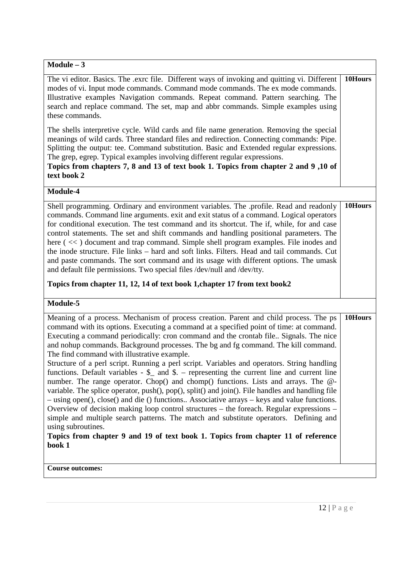| $Module - 3$                                                                                                                                                                                                                                                                                                                                                                                                                                                                                                                                                                                                                                                                                                                                                                                                                                                                                                                                                                                                                                                                                                                                                                                                    |         |
|-----------------------------------------------------------------------------------------------------------------------------------------------------------------------------------------------------------------------------------------------------------------------------------------------------------------------------------------------------------------------------------------------------------------------------------------------------------------------------------------------------------------------------------------------------------------------------------------------------------------------------------------------------------------------------------------------------------------------------------------------------------------------------------------------------------------------------------------------------------------------------------------------------------------------------------------------------------------------------------------------------------------------------------------------------------------------------------------------------------------------------------------------------------------------------------------------------------------|---------|
|                                                                                                                                                                                                                                                                                                                                                                                                                                                                                                                                                                                                                                                                                                                                                                                                                                                                                                                                                                                                                                                                                                                                                                                                                 |         |
| The vi editor. Basics. The .exrc file. Different ways of invoking and quitting vi. Different<br>modes of vi. Input mode commands. Command mode commands. The ex mode commands.<br>Illustrative examples Navigation commands. Repeat command. Pattern searching. The<br>search and replace command. The set, map and abbr commands. Simple examples using<br>these commands.                                                                                                                                                                                                                                                                                                                                                                                                                                                                                                                                                                                                                                                                                                                                                                                                                                     | 10Hours |
| The shells interpretive cycle. Wild cards and file name generation. Removing the special<br>meanings of wild cards. Three standard files and redirection. Connecting commands: Pipe.<br>Splitting the output: tee. Command substitution. Basic and Extended regular expressions.<br>The grep, egrep. Typical examples involving different regular expressions.<br>Topics from chapters 7, 8 and 13 of text book 1. Topics from chapter 2 and 9,10 of<br>text book 2                                                                                                                                                                                                                                                                                                                                                                                                                                                                                                                                                                                                                                                                                                                                             |         |
| Module-4                                                                                                                                                                                                                                                                                                                                                                                                                                                                                                                                                                                                                                                                                                                                                                                                                                                                                                                                                                                                                                                                                                                                                                                                        |         |
| Shell programming. Ordinary and environment variables. The .profile. Read and readonly<br>commands. Command line arguments. exit and exit status of a command. Logical operators<br>for conditional execution. The test command and its shortcut. The if, while, for and case<br>control statements. The set and shift commands and handling positional parameters. The<br>here (<<) document and trap command. Simple shell program examples. File inodes and<br>the inode structure. File links - hard and soft links. Filters. Head and tail commands. Cut<br>and paste commands. The sort command and its usage with different options. The umask<br>and default file permissions. Two special files /dev/null and /dev/tty.                                                                                                                                                                                                                                                                                                                                                                                                                                                                                | 10Hours |
| Topics from chapter 11, 12, 14 of text book 1, chapter 17 from text book2                                                                                                                                                                                                                                                                                                                                                                                                                                                                                                                                                                                                                                                                                                                                                                                                                                                                                                                                                                                                                                                                                                                                       |         |
| Module-5                                                                                                                                                                                                                                                                                                                                                                                                                                                                                                                                                                                                                                                                                                                                                                                                                                                                                                                                                                                                                                                                                                                                                                                                        |         |
| Meaning of a process. Mechanism of process creation. Parent and child process. The ps<br>command with its options. Executing a command at a specified point of time: at command.<br>Executing a command periodically: cron command and the crontab file Signals. The nice<br>and nohup commands. Background processes. The bg and fg command. The kill command.<br>The find command with illustrative example.<br>Structure of a perl script. Running a perl script. Variables and operators. String handling<br>functions. Default variables $-$ \$ and \$. – representing the current line and current line<br>number. The range operator. Chop() and chomp() functions. Lists and arrays. The @-<br>variable. The splice operator, push(), pop(), split() and join(). File handles and handling file<br>- using open(), close() and die () functions Associative arrays - keys and value functions.<br>Overview of decision making loop control structures – the foreach. Regular expressions –<br>simple and multiple search patterns. The match and substitute operators. Defining and<br>using subroutines.<br>Topics from chapter 9 and 19 of text book 1. Topics from chapter 11 of reference<br>book 1 | 10Hours |
| <b>Course outcomes:</b>                                                                                                                                                                                                                                                                                                                                                                                                                                                                                                                                                                                                                                                                                                                                                                                                                                                                                                                                                                                                                                                                                                                                                                                         |         |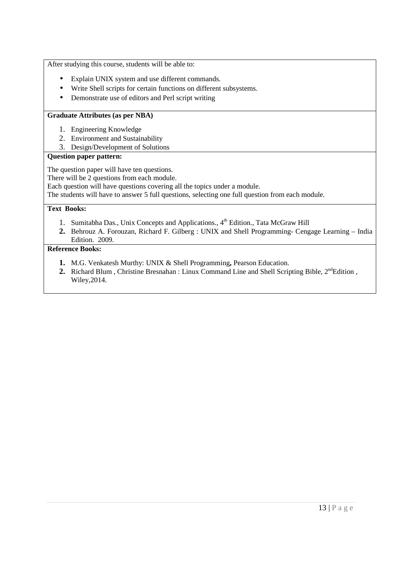After studying this course, students will be able to:

- Explain UNIX system and use different commands.
- Write Shell scripts for certain functions on different subsystems.
- Demonstrate use of editors and Perl script writing

### **Graduate Attributes (as per NBA)**

- 1. Engineering Knowledge
- 2. Environment and Sustainability
- 3. Design/Development of Solutions

### **Question paper pattern:**

The question paper will have ten questions.

There will be 2 questions from each module.

Each question will have questions covering all the topics under a module.

The students will have to answer 5 full questions, selecting one full question from each module.

### **Text Books:**

- 1. Sumitabha Das., Unix Concepts and Applications.,  $4<sup>th</sup>$  Edition., Tata McGraw Hill
- **2.** Behrouz A. Forouzan, Richard F. Gilberg : UNIX and Shell Programming- Cengage Learning India Edition. 2009.

- **1.** M.G. Venkatesh Murthy: UNIX & Shell Programming**,** Pearson Education.
- **2.** Richard Blum, Christine Bresnahan : Linux Command Line and Shell Scripting Bible, 2<sup>nd</sup>Edition, Wiley,2014.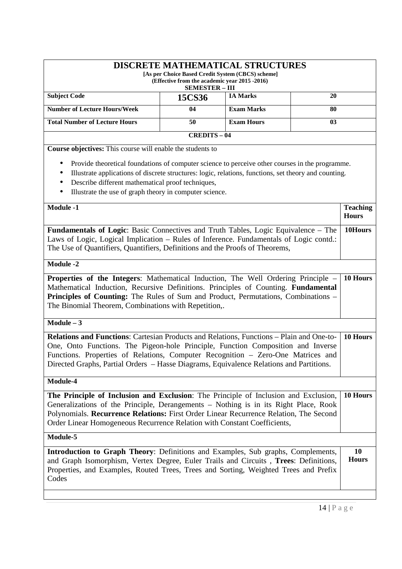|                                                                                                                                                                                                                                                                                                                                                                    | <b>DISCRETE MATHEMATICAL STRUCTURES</b><br>[As per Choice Based Credit System (CBCS) scheme]<br>(Effective from the academic year 2015 -2016)<br><b>SEMESTER - III</b> |                   |    |                                 |
|--------------------------------------------------------------------------------------------------------------------------------------------------------------------------------------------------------------------------------------------------------------------------------------------------------------------------------------------------------------------|------------------------------------------------------------------------------------------------------------------------------------------------------------------------|-------------------|----|---------------------------------|
| <b>Subject Code</b>                                                                                                                                                                                                                                                                                                                                                | 15CS36                                                                                                                                                                 | <b>IA Marks</b>   | 20 |                                 |
| <b>Number of Lecture Hours/Week</b>                                                                                                                                                                                                                                                                                                                                | 04                                                                                                                                                                     | <b>Exam Marks</b> | 80 |                                 |
| <b>Total Number of Lecture Hours</b>                                                                                                                                                                                                                                                                                                                               | 50                                                                                                                                                                     | <b>Exam Hours</b> | 03 |                                 |
|                                                                                                                                                                                                                                                                                                                                                                    | <b>CREDITS-04</b>                                                                                                                                                      |                   |    |                                 |
| Course objectives: This course will enable the students to                                                                                                                                                                                                                                                                                                         |                                                                                                                                                                        |                   |    |                                 |
| Provide theoretical foundations of computer science to perceive other courses in the programme.<br>Illustrate applications of discrete structures: logic, relations, functions, set theory and counting.<br>Describe different mathematical proof techniques,<br>$\bullet$<br>Illustrate the use of graph theory in computer science.<br>$\bullet$                 |                                                                                                                                                                        |                   |    |                                 |
| <b>Module -1</b>                                                                                                                                                                                                                                                                                                                                                   |                                                                                                                                                                        |                   |    | <b>Teaching</b><br><b>Hours</b> |
| <b>Fundamentals of Logic:</b> Basic Connectives and Truth Tables, Logic Equivalence – The<br>Laws of Logic, Logical Implication - Rules of Inference. Fundamentals of Logic contd.:<br>The Use of Quantifiers, Quantifiers, Definitions and the Proofs of Theorems,                                                                                                |                                                                                                                                                                        |                   |    | 10Hours                         |
| <b>Module -2</b>                                                                                                                                                                                                                                                                                                                                                   |                                                                                                                                                                        |                   |    |                                 |
| Properties of the Integers: Mathematical Induction, The Well Ordering Principle –<br>Mathematical Induction, Recursive Definitions. Principles of Counting. Fundamental<br>Principles of Counting: The Rules of Sum and Product, Permutations, Combinations -<br>The Binomial Theorem, Combinations with Repetition,.                                              |                                                                                                                                                                        |                   |    | 10 Hours                        |
| $Module - 3$                                                                                                                                                                                                                                                                                                                                                       |                                                                                                                                                                        |                   |    |                                 |
| <b>Relations and Functions:</b> Cartesian Products and Relations, Functions – Plain and One-to-<br>One, Onto Functions. The Pigeon-hole Principle, Function Composition and Inverse<br>Functions. Properties of Relations, Computer Recognition - Zero-One Matrices and<br>Directed Graphs, Partial Orders – Hasse Diagrams, Equivalence Relations and Partitions. |                                                                                                                                                                        |                   |    | 10 Hours                        |
| Module-4                                                                                                                                                                                                                                                                                                                                                           |                                                                                                                                                                        |                   |    |                                 |
| The Principle of Inclusion and Exclusion: The Principle of Inclusion and Exclusion,<br>Generalizations of the Principle, Derangements - Nothing is in its Right Place, Rook<br>Polynomials. Recurrence Relations: First Order Linear Recurrence Relation, The Second<br>Order Linear Homogeneous Recurrence Relation with Constant Coefficients,                   |                                                                                                                                                                        |                   |    | 10 Hours                        |
| Module-5                                                                                                                                                                                                                                                                                                                                                           |                                                                                                                                                                        |                   |    |                                 |
| Introduction to Graph Theory: Definitions and Examples, Sub graphs, Complements,<br>and Graph Isomorphism, Vertex Degree, Euler Trails and Circuits, Trees: Definitions,<br>Properties, and Examples, Routed Trees, Trees and Sorting, Weighted Trees and Prefix<br>Codes                                                                                          |                                                                                                                                                                        |                   |    | 10<br><b>Hours</b>              |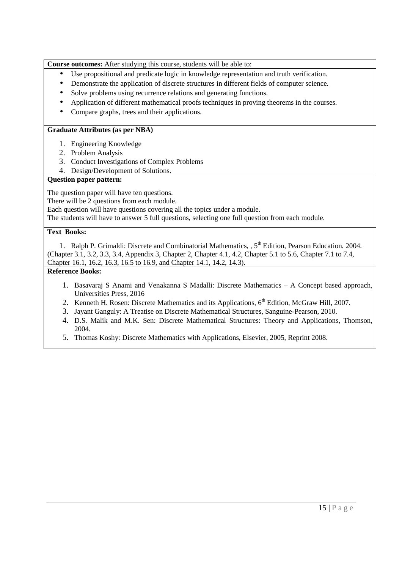**Course outcomes:** After studying this course, students will be able to:

- Use propositional and predicate logic in knowledge representation and truth verification.
- Demonstrate the application of discrete structures in different fields of computer science.
- Solve problems using recurrence relations and generating functions.
- Application of different mathematical proofs techniques in proving theorems in the courses.
- Compare graphs, trees and their applications.

## **Graduate Attributes (as per NBA)**

- 1. Engineering Knowledge
- 2. Problem Analysis
- 3. Conduct Investigations of Complex Problems
- 4. Design/Development of Solutions.

## **Question paper pattern:**

The question paper will have ten questions.

There will be 2 questions from each module.

Each question will have questions covering all the topics under a module.

The students will have to answer 5 full questions, selecting one full question from each module.

## **Text Books:**

1. Ralph P. Grimaldi: Discrete and Combinatorial Mathematics, , 5<sup>th</sup> Edition, Pearson Education. 2004. (Chapter 3.1, 3.2, 3.3, 3.4, Appendix 3, Chapter 2, Chapter 4.1, 4.2, Chapter 5.1 to 5.6, Chapter 7.1 to 7.4, Chapter 16.1, 16.2, 16.3, 16.5 to 16.9, and Chapter 14.1, 14.2, 14.3).

- 1. Basavaraj S Anami and Venakanna S Madalli: Discrete Mathematics A Concept based approach, Universities Press, 2016
- 2. Kenneth H. Rosen: Discrete Mathematics and its Applications, 6<sup>th</sup> Edition, McGraw Hill, 2007.
- 3. Jayant Ganguly: A Treatise on Discrete Mathematical Structures, Sanguine-Pearson, 2010.
- 4. D.S. Malik and M.K. Sen: Discrete Mathematical Structures: Theory and Applications, Thomson, 2004.
- 5. Thomas Koshy: Discrete Mathematics with Applications, Elsevier, 2005, Reprint 2008.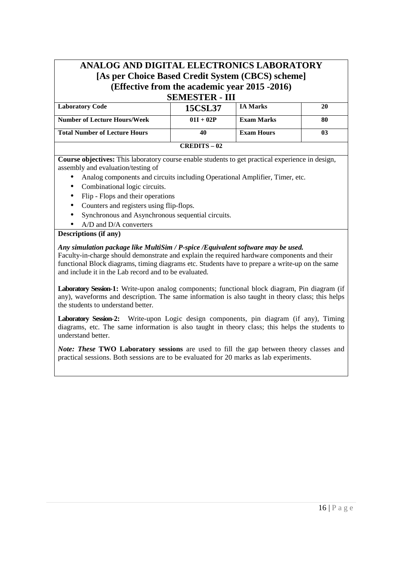# **ANALOG AND DIGITAL ELECTRONICS LABORATORY [As per Choice Based Credit System (CBCS) scheme] (Effective from the academic year 2015 -2016) SEMESTER - III**

| DEMIED I EN - III                    |                |                   |    |  |  |
|--------------------------------------|----------------|-------------------|----|--|--|
| <b>Laboratory Code</b>               | <b>15CSL37</b> | <b>IA Marks</b>   | 20 |  |  |
| <b>Number of Lecture Hours/Week</b>  | $01I + 02P$    | <b>Exam Marks</b> | 80 |  |  |
| <b>Total Number of Lecture Hours</b> |                | <b>Exam Hours</b> | 03 |  |  |
|                                      | $CREDITS - 02$ |                   |    |  |  |

**Course objectives:** This laboratory course enable students to get practical experience in design, assembly and evaluation/testing of

- Analog components and circuits including Operational Amplifier, Timer, etc.
- Combinational logic circuits.
- Flip Flops and their operations
- Counters and registers using flip-flops.
- Synchronous and Asynchronous sequential circuits.
- A/D and D/A converters

### **Descriptions (if any)**

### *Any simulation package like MultiSim / P-spice /Equivalent software may be used.*

Faculty-in-charge should demonstrate and explain the required hardware components and their functional Block diagrams, timing diagrams etc. Students have to prepare a write-up on the same and include it in the Lab record and to be evaluated.

**Laboratory Session-1:** Write-upon analog components; functional block diagram, Pin diagram (if any), waveforms and description. The same information is also taught in theory class; this helps the students to understand better.

**Laboratory Session-2:** Write-upon Logic design components, pin diagram (if any), Timing diagrams, etc. The same information is also taught in theory class; this helps the students to understand better.

*Note: These* **TWO Laboratory sessions** are used to fill the gap between theory classes and practical sessions. Both sessions are to be evaluated for 20 marks as lab experiments.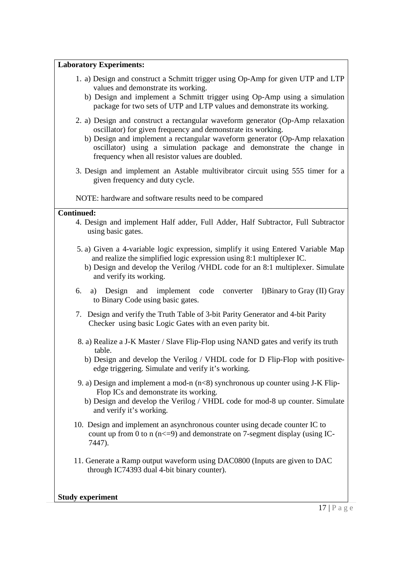# **Laboratory Experiments:**

- 1. a) Design and construct a Schmitt trigger using Op-Amp for given UTP and LTP values and demonstrate its working.
	- b) Design and implement a Schmitt trigger using Op-Amp using a simulation package for two sets of UTP and LTP values and demonstrate its working.
- 2. a) Design and construct a rectangular waveform generator (Op-Amp relaxation oscillator) for given frequency and demonstrate its working.
	- b) Design and implement a rectangular waveform generator (Op-Amp relaxation oscillator) using a simulation package and demonstrate the change in frequency when all resistor values are doubled.
- 3. Design and implement an Astable multivibrator circuit using 555 timer for a given frequency and duty cycle.

NOTE: hardware and software results need to be compared

### **Continued:**

- 4. Design and implement Half adder, Full Adder, Half Subtractor, Full Subtractor using basic gates.
- 5. a) Given a 4-variable logic expression, simplify it using Entered Variable Map and realize the simplified logic expression using 8:1 multiplexer IC.
	- b) Design and develop the Verilog /VHDL code for an 8:1 multiplexer. Simulate and verify its working.
- 6. a) Design and implement code converter I)Binary to Gray (II) Gray to Binary Code using basic gates.
- 7. Design and verify the Truth Table of 3-bit Parity Generator and 4-bit Parity Checker using basic Logic Gates with an even parity bit.
- 8. a) Realize a J-K Master / Slave Flip-Flop using NAND gates and verify its truth table.
	- b) Design and develop the Verilog / VHDL code for D Flip-Flop with positiveedge triggering. Simulate and verify it's working.
- 9. a) Design and implement a mod-n  $(n<8)$  synchronous up counter using J-K Flip- Flop ICs and demonstrate its working.
	- b) Design and develop the Verilog / VHDL code for mod-8 up counter. Simulate and verify it's working.
- 10. Design and implement an asynchronous counter using decade counter IC to count up from 0 to n  $(n \leq -9)$  and demonstrate on 7-segment display (using IC-7447).
- 11. Generate a Ramp output waveform using DAC0800 (Inputs are given to DAC through IC74393 dual 4-bit binary counter).

**Study experiment**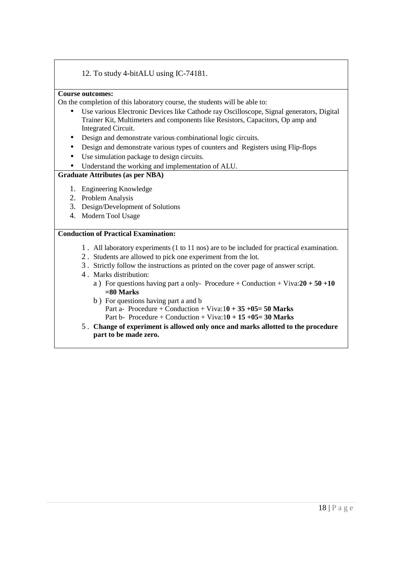## 12. To study 4-bitALU using IC-74181.

### **Course outcomes:**

On the completion of this laboratory course, the students will be able to:

- Use various Electronic Devices like Cathode ray Oscilloscope, Signal generators, Digital Trainer Kit, Multimeters and components like Resistors, Capacitors, Op amp and Integrated Circuit.
- Design and demonstrate various combinational logic circuits.
- Design and demonstrate various types of counters and Registers using Flip-flops
- Use simulation package to design circuits.
- Understand the working and implementation of ALU.

### **Graduate Attributes (as per NBA)**

- 1. Engineering Knowledge
- 2. Problem Analysis
- 3. Design/Development of Solutions
- 4. Modern Tool Usage

### **Conduction of Practical Examination:**

- 1 . All laboratory experiments (1 to 11 nos) are to be included for practical examination.
- 2 . Students are allowed to pick one experiment from the lot.
- 3 . Strictly follow the instructions as printed on the cover page of answer script.
- 4 . Marks distribution:
	- a ) For questions having part a only- Procedure + Conduction + Viva:**20 + 50 +10 =80 Marks**
	- b ) For questions having part a and b
		- Part a- Procedure + Conduction + Viva:1**0 + 35 +05= 50 Marks**
		- Part b- Procedure + Conduction + Viva:1**0 + 15 +05= 30 Marks**
- 5 . **Change of experiment is allowed only once and marks allotted to the procedure part to be made zero.**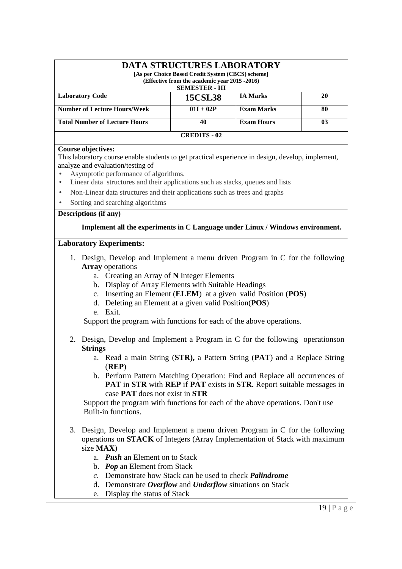| <b>DATA STRUCTURES LABORATORY</b><br>[As per Choice Based Credit System (CBCS) scheme]<br>(Effective from the academic year 2015 -2016) |                |                   |    |  |  |
|-----------------------------------------------------------------------------------------------------------------------------------------|----------------|-------------------|----|--|--|
| <b>SEMESTER - III</b>                                                                                                                   |                |                   |    |  |  |
| <b>Laboratory Code</b>                                                                                                                  | <b>15CSL38</b> | <b>IA Marks</b>   | 20 |  |  |
| <b>Number of Lecture Hours/Week</b>                                                                                                     | $01I + 02P$    | <b>Exam Marks</b> | 80 |  |  |
| <b>Total Number of Lecture Hours</b>                                                                                                    | 40             | <b>Exam Hours</b> | 03 |  |  |
| <b>CREDITS - 02</b>                                                                                                                     |                |                   |    |  |  |

### **Course objectives:**

This laboratory course enable students to get practical experience in design, develop, implement, analyze and evaluation/testing of

- Asymptotic performance of algorithms.
- Linear data structures and their applications such as stacks, queues and lists
- Non-Linear data structures and their applications such as trees and graphs
- Sorting and searching algorithms

### **Descriptions (if any)**

### **Implement all the experiments in C Language under Linux / Windows environment.**

### **Laboratory Experiments:**

- 1. Design, Develop and Implement a menu driven Program in C for the following **Array** operations
	- a. Creating an Array of **N** Integer Elements
	- b. Display of Array Elements with Suitable Headings
	- c. Inserting an Element (**ELEM**) at a given valid Position (**POS**)
	- d. Deleting an Element at a given valid Position(**POS**)
	- e. Exit.

Support the program with functions for each of the above operations.

- 2. Design, Develop and Implement a Program in C for the following operationson **Strings**
	- a. Read a main String (**STR),** a Pattern String (**PAT**) and a Replace String (**REP**)
	- b. Perform Pattern Matching Operation: Find and Replace all occurrences of **PAT** in **STR** with **REP** if **PAT** exists in **STR.** Report suitable messages in case **PAT** does not exist in **STR**

 Support the program with functions for each of the above operations. Don't use Built-in functions.

- 3. Design, Develop and Implement a menu driven Program in C for the following operations on **STACK** of Integers (Array Implementation of Stack with maximum size **MAX**)
	- a. *Push* an Element on to Stack
	- b. *Pop* an Element from Stack
	- *c.* Demonstrate how Stack can be used to check *Palindrome*
	- d. Demonstrate *Overflow* and *Underflow* situations on Stack
	- e. Display the status of Stack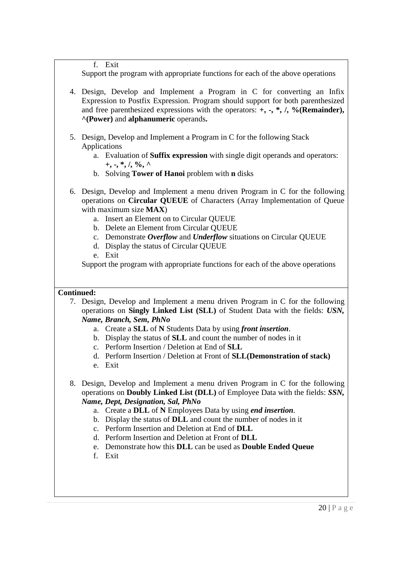f. Exit

Support the program with appropriate functions for each of the above operations

- 4. Design, Develop and Implement a Program in C for converting an Infix Expression to Postfix Expression. Program should support for both parenthesized and free parenthesized expressions with the operators: **+, -, \*, /, %(Remainder), ^(Power)** and **alphanumeric** operands**.**
- 5. Design, Develop and Implement a Program in C for the following Stack Applications
	- a. Evaluation of **Suffix expression** with single digit operands and operators: **+, -, \*, /, %, ^**
	- b. Solving **Tower of Hanoi** problem with **n** disks
- 6. Design, Develop and Implement a menu driven Program in C for the following operations on **Circular QUEUE** of Characters (Array Implementation of Queue with maximum size **MAX**)
	- a. Insert an Element on to Circular QUEUE
	- b. Delete an Element from Circular QUEUE
	- c. Demonstrate *Overflow* and *Underflow* situations on Circular QUEUE
	- d. Display the status of Circular QUEUE
	- e. Exit

Support the program with appropriate functions for each of the above operations

# **Continued:**

- 7. Design, Develop and Implement a menu driven Program in C for the following operations on **Singly Linked List (SLL)** of Student Data with the fields: *USN, Name, Branch, Sem, PhNo*
	- a. Create a **SLL** of **N** Students Data by using *front insertion*.
	- b. Display the status of **SLL** and count the number of nodes in it
	- c. Perform Insertion / Deletion at End of **SLL**
	- d. Perform Insertion / Deletion at Front of **SLL(Demonstration of stack)**
	- e. Exit
- 8. Design, Develop and Implement a menu driven Program in C for the following operations on **Doubly Linked List (DLL)** of Employee Data with the fields: *SSN, Name, Dept, Designation, Sal, PhNo*
	- a. Create a **DLL** of **N** Employees Data by using *end insertion*.
	- b. Display the status of **DLL** and count the number of nodes in it
	- c. Perform Insertion and Deletion at End of **DLL**
	- d. Perform Insertion and Deletion at Front of **DLL**
	- e. Demonstrate how this **DLL** can be used as **Double Ended Queue**
	- f. Exit